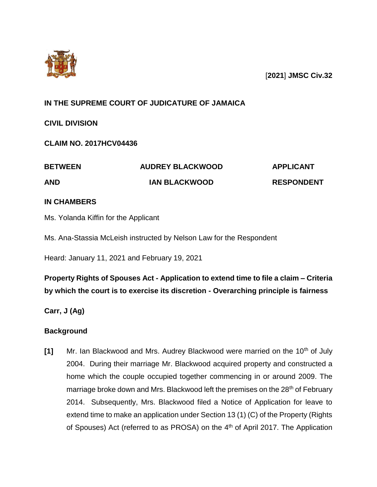

[**2021**] **JMSC Civ.32**

# **IN THE SUPREME COURT OF JUDICATURE OF JAMAICA**

**CIVIL DIVISION**

**CLAIM NO. 2017HCV04436**

| <b>BETWEEN</b> | <b>AUDREY BLACKWOOD</b> | <b>APPLICANT</b>  |
|----------------|-------------------------|-------------------|
| <b>AND</b>     | <b>IAN BLACKWOOD</b>    | <b>RESPONDENT</b> |

# **IN CHAMBERS**

Ms. Yolanda Kiffin for the Applicant

Ms. Ana-Stassia McLeish instructed by Nelson Law for the Respondent

Heard: January 11, 2021 and February 19, 2021

# **Property Rights of Spouses Act - Application to extend time to file a claim – Criteria by which the court is to exercise its discretion - Overarching principle is fairness**

**Carr, J (Ag)**

# **Background**

**[1]** Mr. Ian Blackwood and Mrs. Audrey Blackwood were married on the 10<sup>th</sup> of July 2004. During their marriage Mr. Blackwood acquired property and constructed a home which the couple occupied together commencing in or around 2009. The marriage broke down and Mrs. Blackwood left the premises on the 28<sup>th</sup> of February 2014. Subsequently, Mrs. Blackwood filed a Notice of Application for leave to extend time to make an application under Section 13 (1) (C) of the Property (Rights of Spouses) Act (referred to as PROSA) on the 4<sup>th</sup> of April 2017. The Application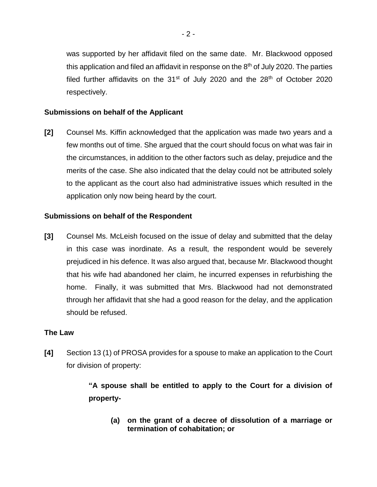was supported by her affidavit filed on the same date. Mr. Blackwood opposed this application and filed an affidavit in response on the  $8<sup>th</sup>$  of July 2020. The parties filed further affidavits on the  $31<sup>st</sup>$  of July 2020 and the  $28<sup>th</sup>$  of October 2020 respectively.

### **Submissions on behalf of the Applicant**

**[2]** Counsel Ms. Kiffin acknowledged that the application was made two years and a few months out of time. She argued that the court should focus on what was fair in the circumstances, in addition to the other factors such as delay, prejudice and the merits of the case. She also indicated that the delay could not be attributed solely to the applicant as the court also had administrative issues which resulted in the application only now being heard by the court.

### **Submissions on behalf of the Respondent**

**[3]** Counsel Ms. McLeish focused on the issue of delay and submitted that the delay in this case was inordinate. As a result, the respondent would be severely prejudiced in his defence. It was also argued that, because Mr. Blackwood thought that his wife had abandoned her claim, he incurred expenses in refurbishing the home. Finally, it was submitted that Mrs. Blackwood had not demonstrated through her affidavit that she had a good reason for the delay, and the application should be refused.

#### **The Law**

**[4]** Section 13 (1) of PROSA provides for a spouse to make an application to the Court for division of property:

> **"A spouse shall be entitled to apply to the Court for a division of property-**

**(a) on the grant of a decree of dissolution of a marriage or termination of cohabitation; or**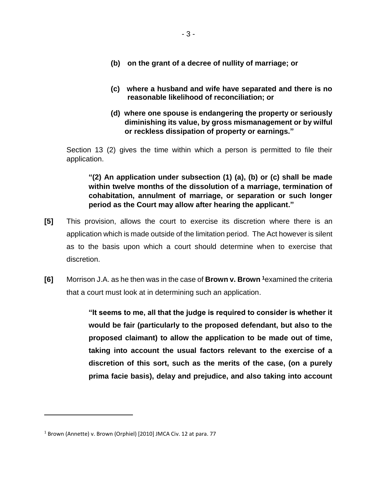- **(b) on the grant of a decree of nullity of marriage; or**
- **(c) where a husband and wife have separated and there is no reasonable likelihood of reconciliation; or**
- **(d) where one spouse is endangering the property or seriously diminishing its value, by gross mismanagement or by wilful or reckless dissipation of property or earnings."**

Section 13 (2) gives the time within which a person is permitted to file their application.

**"(2) An application under subsection (1) (a), (b) or (c) shall be made within twelve months of the dissolution of a marriage, termination of cohabitation, annulment of marriage, or separation or such longer period as the Court may allow after hearing the applicant."**

- **[5]** This provision, allows the court to exercise its discretion where there is an application which is made outside of the limitation period. The Act however is silent as to the basis upon which a court should determine when to exercise that discretion.
- **[6]** Morrison J.A. as he then was in the case of **Brown v. Brown <sup>1</sup>**examined the criteria that a court must look at in determining such an application.

**"It seems to me, all that the judge is required to consider is whether it would be fair (particularly to the proposed defendant, but also to the proposed claimant) to allow the application to be made out of time, taking into account the usual factors relevant to the exercise of a discretion of this sort, such as the merits of the case, (on a purely prima facie basis), delay and prejudice, and also taking into account** 

 $\overline{a}$ 

<sup>&</sup>lt;sup>1</sup> Brown (Annette) v. Brown (Orphiel) [2010] JMCA Civ. 12 at para. 77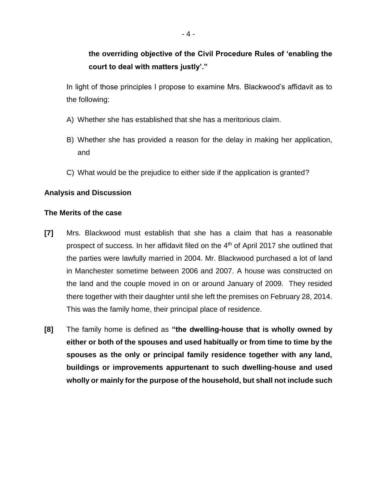In light of those principles I propose to examine Mrs. Blackwood's affidavit as to the following:

- A) Whether she has established that she has a meritorious claim.
- B) Whether she has provided a reason for the delay in making her application, and
- C) What would be the prejudice to either side if the application is granted?

## **Analysis and Discussion**

## **The Merits of the case**

- **[7]** Mrs. Blackwood must establish that she has a claim that has a reasonable prospect of success. In her affidavit filed on the  $4<sup>th</sup>$  of April 2017 she outlined that the parties were lawfully married in 2004. Mr. Blackwood purchased a lot of land in Manchester sometime between 2006 and 2007. A house was constructed on the land and the couple moved in on or around January of 2009. They resided there together with their daughter until she left the premises on February 28, 2014. This was the family home, their principal place of residence.
- **[8]** The family home is defined as **"the dwelling-house that is wholly owned by either or both of the spouses and used habitually or from time to time by the spouses as the only or principal family residence together with any land, buildings or improvements appurtenant to such dwelling-house and used wholly or mainly for the purpose of the household, but shall not include such**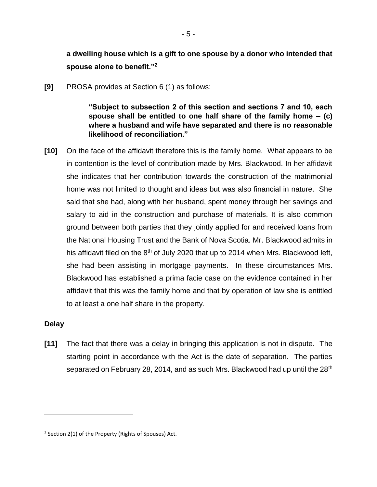**a dwelling house which is a gift to one spouse by a donor who intended that spouse alone to benefit."<sup>2</sup>**

- 5 -

**[9]** PROSA provides at Section 6 (1) as follows:

**"Subject to subsection 2 of this section and sections 7 and 10, each spouse shall be entitled to one half share of the family home – (c) where a husband and wife have separated and there is no reasonable likelihood of reconciliation."** 

**[10]** On the face of the affidavit therefore this is the family home. What appears to be in contention is the level of contribution made by Mrs. Blackwood. In her affidavit she indicates that her contribution towards the construction of the matrimonial home was not limited to thought and ideas but was also financial in nature. She said that she had, along with her husband, spent money through her savings and salary to aid in the construction and purchase of materials. It is also common ground between both parties that they jointly applied for and received loans from the National Housing Trust and the Bank of Nova Scotia. Mr. Blackwood admits in his affidavit filed on the  $8<sup>th</sup>$  of July 2020 that up to 2014 when Mrs. Blackwood left, she had been assisting in mortgage payments. In these circumstances Mrs. Blackwood has established a prima facie case on the evidence contained in her affidavit that this was the family home and that by operation of law she is entitled to at least a one half share in the property.

## **Delay**

 $\overline{a}$ 

**[11]** The fact that there was a delay in bringing this application is not in dispute. The starting point in accordance with the Act is the date of separation. The parties separated on February 28, 2014, and as such Mrs. Blackwood had up until the 28<sup>th</sup>

<sup>&</sup>lt;sup>2</sup> Section 2(1) of the Property (Rights of Spouses) Act.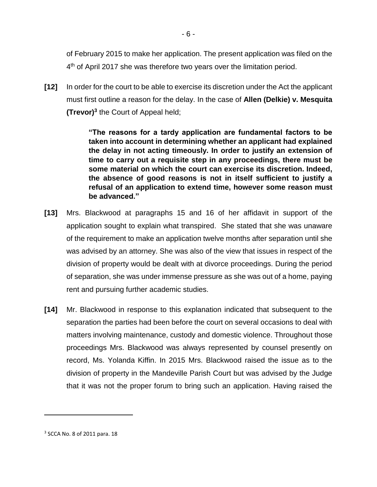of February 2015 to make her application. The present application was filed on the 4<sup>th</sup> of April 2017 she was therefore two years over the limitation period.

**[12]** In order for the court to be able to exercise its discretion under the Act the applicant must first outline a reason for the delay. In the case of **Allen (Delkie) v. Mesquita (Trevor)<sup>3</sup>** the Court of Appeal held;

> **"The reasons for a tardy application are fundamental factors to be taken into account in determining whether an applicant had explained the delay in not acting timeously. In order to justify an extension of time to carry out a requisite step in any proceedings, there must be some material on which the court can exercise its discretion. Indeed, the absence of good reasons is not in itself sufficient to justify a refusal of an application to extend time, however some reason must be advanced."**

- **[13]** Mrs. Blackwood at paragraphs 15 and 16 of her affidavit in support of the application sought to explain what transpired. She stated that she was unaware of the requirement to make an application twelve months after separation until she was advised by an attorney. She was also of the view that issues in respect of the division of property would be dealt with at divorce proceedings. During the period of separation, she was under immense pressure as she was out of a home, paying rent and pursuing further academic studies.
- **[14]** Mr. Blackwood in response to this explanation indicated that subsequent to the separation the parties had been before the court on several occasions to deal with matters involving maintenance, custody and domestic violence. Throughout those proceedings Mrs. Blackwood was always represented by counsel presently on record, Ms. Yolanda Kiffin. In 2015 Mrs. Blackwood raised the issue as to the division of property in the Mandeville Parish Court but was advised by the Judge that it was not the proper forum to bring such an application. Having raised the

 $\overline{a}$ 

<sup>3</sup> SCCA No. 8 of 2011 para. 18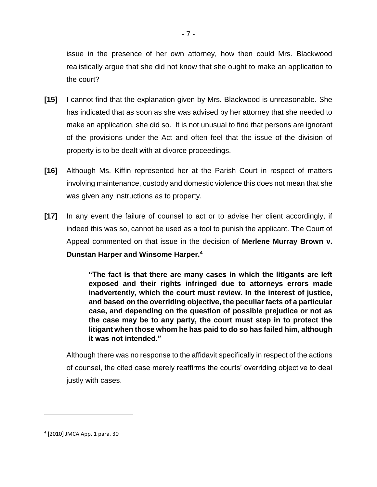issue in the presence of her own attorney, how then could Mrs. Blackwood realistically argue that she did not know that she ought to make an application to the court?

- **[15]** I cannot find that the explanation given by Mrs. Blackwood is unreasonable. She has indicated that as soon as she was advised by her attorney that she needed to make an application, she did so. It is not unusual to find that persons are ignorant of the provisions under the Act and often feel that the issue of the division of property is to be dealt with at divorce proceedings.
- **[16]** Although Ms. Kiffin represented her at the Parish Court in respect of matters involving maintenance, custody and domestic violence this does not mean that she was given any instructions as to property.
- **[17]** In any event the failure of counsel to act or to advise her client accordingly, if indeed this was so, cannot be used as a tool to punish the applicant. The Court of Appeal commented on that issue in the decision of **Merlene Murray Brown v. Dunstan Harper and Winsome Harper.<sup>4</sup>**

**"The fact is that there are many cases in which the litigants are left exposed and their rights infringed due to attorneys errors made inadvertently, which the court must review. In the interest of justice, and based on the overriding objective, the peculiar facts of a particular case, and depending on the question of possible prejudice or not as the case may be to any party, the court must step in to protect the litigant when those whom he has paid to do so has failed him, although it was not intended."**

Although there was no response to the affidavit specifically in respect of the actions of counsel, the cited case merely reaffirms the courts' overriding objective to deal justly with cases.

 $\overline{a}$ 

<sup>4</sup> [2010] JMCA App. 1 para. 30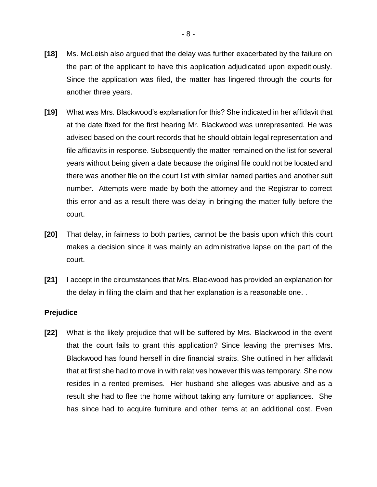- **[18]** Ms. McLeish also argued that the delay was further exacerbated by the failure on the part of the applicant to have this application adjudicated upon expeditiously. Since the application was filed, the matter has lingered through the courts for another three years.
- **[19]** What was Mrs. Blackwood's explanation for this? She indicated in her affidavit that at the date fixed for the first hearing Mr. Blackwood was unrepresented. He was advised based on the court records that he should obtain legal representation and file affidavits in response. Subsequently the matter remained on the list for several years without being given a date because the original file could not be located and there was another file on the court list with similar named parties and another suit number. Attempts were made by both the attorney and the Registrar to correct this error and as a result there was delay in bringing the matter fully before the court.
- **[20]** That delay, in fairness to both parties, cannot be the basis upon which this court makes a decision since it was mainly an administrative lapse on the part of the court.
- **[21]** I accept in the circumstances that Mrs. Blackwood has provided an explanation for the delay in filing the claim and that her explanation is a reasonable one. .

#### **Prejudice**

**[22]** What is the likely prejudice that will be suffered by Mrs. Blackwood in the event that the court fails to grant this application? Since leaving the premises Mrs. Blackwood has found herself in dire financial straits. She outlined in her affidavit that at first she had to move in with relatives however this was temporary. She now resides in a rented premises. Her husband she alleges was abusive and as a result she had to flee the home without taking any furniture or appliances. She has since had to acquire furniture and other items at an additional cost. Even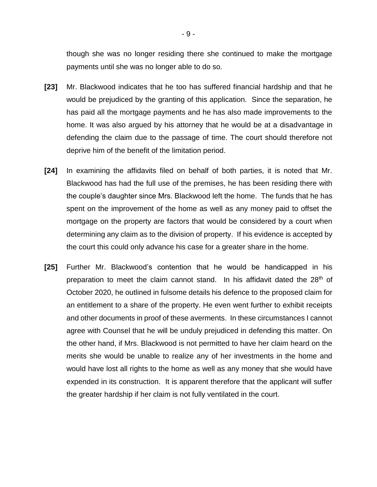though she was no longer residing there she continued to make the mortgage payments until she was no longer able to do so.

- **[23]** Mr. Blackwood indicates that he too has suffered financial hardship and that he would be prejudiced by the granting of this application. Since the separation, he has paid all the mortgage payments and he has also made improvements to the home. It was also argued by his attorney that he would be at a disadvantage in defending the claim due to the passage of time. The court should therefore not deprive him of the benefit of the limitation period.
- **[24]** In examining the affidavits filed on behalf of both parties, it is noted that Mr. Blackwood has had the full use of the premises, he has been residing there with the couple's daughter since Mrs. Blackwood left the home. The funds that he has spent on the improvement of the home as well as any money paid to offset the mortgage on the property are factors that would be considered by a court when determining any claim as to the division of property. If his evidence is accepted by the court this could only advance his case for a greater share in the home.
- **[25]** Further Mr. Blackwood's contention that he would be handicapped in his preparation to meet the claim cannot stand. In his affidavit dated the  $28<sup>th</sup>$  of October 2020, he outlined in fulsome details his defence to the proposed claim for an entitlement to a share of the property. He even went further to exhibit receipts and other documents in proof of these averments. In these circumstances I cannot agree with Counsel that he will be unduly prejudiced in defending this matter. On the other hand, if Mrs. Blackwood is not permitted to have her claim heard on the merits she would be unable to realize any of her investments in the home and would have lost all rights to the home as well as any money that she would have expended in its construction. It is apparent therefore that the applicant will suffer the greater hardship if her claim is not fully ventilated in the court.